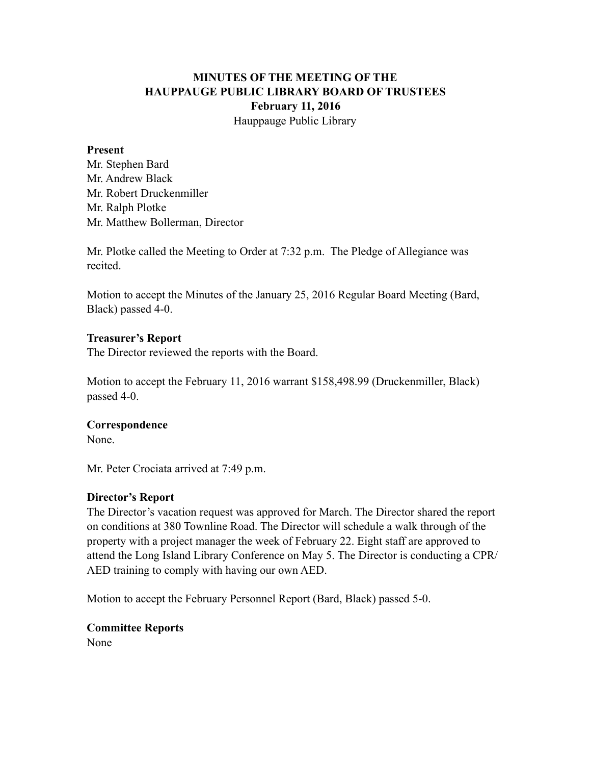# **MINUTES OF THE MEETING OF THE HAUPPAUGE PUBLIC LIBRARY BOARD OF TRUSTEES February 11, 2016** Hauppauge Public Library

#### **Present**

Mr. Stephen Bard Mr. Andrew Black Mr. Robert Druckenmiller Mr. Ralph Plotke Mr. Matthew Bollerman, Director

Mr. Plotke called the Meeting to Order at 7:32 p.m. The Pledge of Allegiance was recited.

Motion to accept the Minutes of the January 25, 2016 Regular Board Meeting (Bard, Black) passed 4-0.

### **Treasurer's Report**

The Director reviewed the reports with the Board.

Motion to accept the February 11, 2016 warrant \$158,498.99 (Druckenmiller, Black) passed 4-0.

### **Correspondence**

None.

Mr. Peter Crociata arrived at 7:49 p.m.

### **Director's Report**

The Director's vacation request was approved for March. The Director shared the report on conditions at 380 Townline Road. The Director will schedule a walk through of the property with a project manager the week of February 22. Eight staff are approved to attend the Long Island Library Conference on May 5. The Director is conducting a CPR/ AED training to comply with having our own AED.

Motion to accept the February Personnel Report (Bard, Black) passed 5-0.

## **Committee Reports**

None